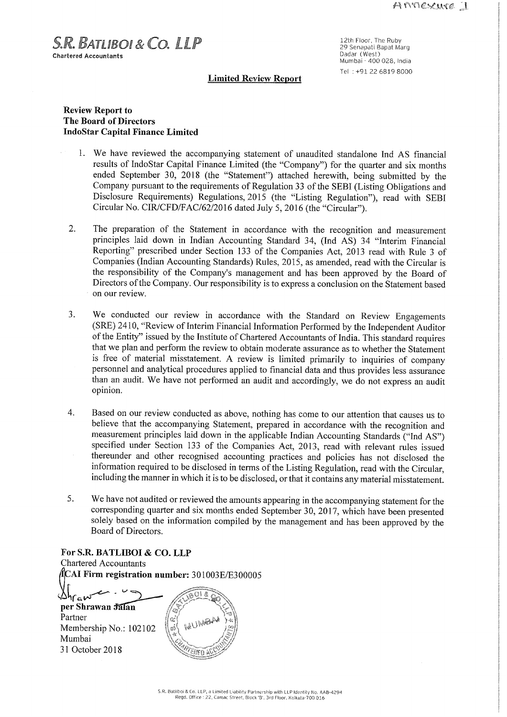$S.R.$  BATLIBOL &  $C$ O. LLP **Chartered Accountants** 

12th Floor, The Ruby 29 Senapati Bapat Marg<br>Dadar (West) Mumbai - 400 028, India Tel :+91 22 6819 8000

### Limited ReVIeW Report

# Review Report to The Board of Directors IndoStar Capital Finance Limited

- 1. We have reviewed the accompanying statement of unaudited standalone Ind AS financial results of IndoStar Capital Finance Limited (the "Company") for the quarter and six months ended September 30, 2018 (the "Statement") attached herewith, being submitted by the Company pursuant to the requirements of Regulation 33 of the SEBI (Listing Obligations and Disclosure Requirements) Regulations, 2015 (the "Listing Regulation"), read with SEBI Circular No. CIR/CFD/FAC/62/2016 dated July 5, <sup>2016</sup> (the "Circular").
- $2.$ The preparation of the Statement in accordance with the recognition and measurement principles laid down in Indian Accounting Standard 34, (Ind AS) 34 "Interim Financial Reporting" prescribed under Section <sup>133</sup> of the Companies Act, <sup>2013</sup> read with Rule <sup>3</sup> of Companies (Indian Accounting Standards) Rules, 2015, as amended, read with the Circular is the responsibility of the Company's management and has been approved by the Board of Directors of the Company. Our responsibility is to express a conclusion on the Statement based on our review.
- $\overline{3}$ . We conducted our review in accordance with the Standard on Review Engagements (SRE) 2410, "Review of Interim Financial Information Performed by the Independent Auditor of the Entity" issued by the Institute of Chartered Accountants of India. This standard requires that we plan and perform the review to obtain moderate assurance as to whether the Statement is free of material misstatement. A review is limited primarily to inquiries of company personnel and analytical procedures applied to financial data and thus provides less assurance than an audit. We have not performed an audit and accordingly, we do not express an audit opinion.
- $4.$ Based on our review conducted as above, nothing has come to our attention that causes us to believe that the accompanying Statement, prepared in accordance with the recognition and measurement principles laid down in the applicable Indian Accounting Standards ("Ind AS") specified under Section <sup>133</sup> of the Companies Act, 2013, read with relevant rules issued thereunder and other recognised accounting practices and policies has not disclosed the information required to be disclosed in terms of the Listing Regulation, read with the Circular, including the manner in which it is to be disclosed, orthat it contains any material misstatement.
- 5. We have not audited or reviewed the amounts appearing in the accompanying statement for the corresponding quarter and six months ended September 30, 2017, which have been presented solely based on the information compiled by the management and has been approved by the Board of Directors

## For S.R. BATLIBOI & CO. LLP Chartered Accountants AI Firm registration number: 301003E/E3 <sup>00005</sup>  $\mathcal{L}_{\mathcal{H}_{\mathbf{G}}}$  where Shrawan Jalan 7—7 éfi'k'i'x perrShrawanMM"6) "is" @111}, Partner Membership No.: 102102 ; Mumbai 31 October 2018  $\sqrt{N}$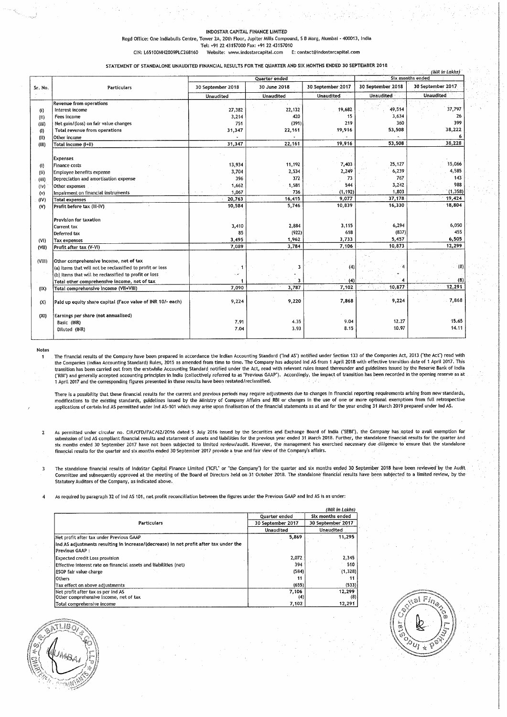#### INDOSTAR CAPITAL FINANCE LIMITED

Regd Office: One Indiabulls Centre, Tower 2A, 20th Floor, Jupiter Mills Compound, <sup>S</sup> <sup>B</sup> Marg, Mumbai - 400013, India

Tel: +91 22 43157000 Fax: +91 22 43157010<br>Website: www.indostarcapital.com E: contact@indostarcapital.com CIN: L65100MH2009PLC268160 Website: www.indostarcapital.com E: contact@indostarcapital.com

STATEMENT OF STANDALONE UNAUDITED FINANCIAL RESULTS FOR THE QUARTER AND SIX MONTHS ENDED 30 SEPTEMBER 2018

|                   |                                                                    | (INR in Lakhs)    |              |                   |                   |                   |
|-------------------|--------------------------------------------------------------------|-------------------|--------------|-------------------|-------------------|-------------------|
|                   |                                                                    | Quarter ended     |              | Six months ended  |                   |                   |
| Sr. No.           | Particulars                                                        | 30 September 2018 | 30 June 2018 | 30 September 2017 | 30 September 2018 | 30 September 2017 |
|                   |                                                                    | <b>Unaudited</b>  | Unaudited    | <b>Unaudited</b>  | <b>Unaudited</b>  | Unaudited         |
|                   | Revenue from operations                                            |                   |              |                   |                   |                   |
| (i)               | Interest income                                                    | 27,382            | 22,132       | 19.682            | 49,514            | 37,797            |
| (ii)              | Fees income                                                        | 3,214             | 420          | 15                | 3,634             | 26                |
| (iii)             | Net gain/(loss) on fair value changes                              | 751               | (391)        | 219               | 360               | 399               |
| $\left( 1\right)$ | Total revenue from operations                                      | 31,347            | 22,161       | 19,916            | 53,508            | 38,222            |
| (11)              | Other income                                                       |                   |              |                   |                   |                   |
| (III)             | Total income (I+II)                                                | 31,347            | 22,161       | 19,916            | 53,508            | 38,228            |
|                   |                                                                    |                   |              |                   |                   |                   |
|                   | <b>Expenses</b>                                                    | 13,934            | 11,192       | 7,403             | 25,127            | 15,066            |
| (i)               | Finance costs                                                      | 3,704             | 2,534        | 2,249             | 6,239             | 4,585             |
| (i)               | Employee benefits expense<br>Depreciation and amortisation expense | 396               | 372          | 73                | 767               | 143               |
| (iii)             | Other expenses                                                     | 1,662             | 1,581        | 544               | 3,242             | 988               |
| (iv)              | Impairment on financial instruments                                | 1,067             | 736          | (1, 192)          | 1,803             | (1, 358)          |
| (v)<br>(IV)       | <b>Total expenses</b>                                              | 20,763            | 16,415       | 9,077             | 37,178            | 19,424            |
| (V)               | Profit before tax (III-IV)                                         | 10,584            | 5,746        | 10.839            | 16,330            | 18,804            |
|                   |                                                                    |                   |              |                   |                   |                   |
|                   | Provision for taxation                                             |                   |              |                   |                   |                   |
|                   | Current tax                                                        | 3,410             | 2,884        | 3,115             | 6,294             | 6,050             |
|                   | Deferred tax                                                       | 85                | (922)        | 618               | (837)             | 455               |
| (VI)              | Tax expenses                                                       | 3,495             | 1,962        | 3,733             | 5,457             | 6,505             |
| (VII)             | Profit after tax (V-VI)                                            | 7.089             | 3,784        | 7,106             | 10,873            | 12,299            |
|                   |                                                                    |                   |              |                   |                   |                   |
| (VIII)            | Other comprehensive income, net of tax                             |                   |              |                   |                   |                   |
|                   | (a) Items that will not be reclassified to profit or loss          |                   | 3            | (4)               |                   | (8)               |
|                   | (b) Items that will be reclassified to profit or loss              |                   |              |                   |                   |                   |
|                   | Total other comprehensive income, net of tax                       |                   |              | (4)               |                   | (8)<br>12,291     |
| (IX)              | Total comprehensive Income (VII+VIII)                              | 7,090             | 3,787        | 7,102             | 10,877            |                   |
| (X)               | Paid up equity share capital (Face value of INR 10/- each)         | 9,224             | 9,220        | 7,868             | 9,224             | 7,868             |
|                   |                                                                    |                   |              |                   |                   |                   |
| (XI)              | Earnings per share (not annualised)                                |                   |              |                   |                   |                   |
|                   | Basic (INR)                                                        | 7.91              | 4.35         | 9.04              | 12.27             | 15.65             |
|                   | Diluted (INR)                                                      | 7.04              | 3.93         | 8.15              | 10.97             | 14.11             |
|                   |                                                                    |                   |              |                   |                   |                   |

Notes

<sup>1</sup> The financial results of the Companylhave been prepared in accordance the Indian Accounting Standard ("Ind AS") notified under Section <sup>133</sup> of the Companies Act, <sup>2013</sup> ("the Act") read with the Companies (Indian Accounting Standard) Rules, 2015 as amended from time to time. The Compay has adopted Ind AS from 1 April 2018 with effective transition date of 1 April 2017. This<br>transition has been carried out from ("RBI") and generally accepted accounting principles in India (collectively referred to as "Previous GAAP"). Accordingly, the impact of transition has been recorded in the opening reserve as at 1 April 2017 and the corresponding figures presented in these results have been restated/reclassified.

There is a possibility that these financial results for the current and previous periods may require dijustments due to changes in financial reporting requirements arising from new standards,<br>modifications to the existing

As permitted under circular no. CIR/CFD/FAC/62/2016 dated 5 July 2016 issued by the Securities and Exchange Board of India ("SEBI"), the Company has opted to avail exemption for<br>submission of Ind AS compliant financial res six months ended <sup>30</sup> September <sup>2017</sup> have not been subjected to limited review/audit However, the management has exercised necessary due diligence to ensure that the standalone financial results for die quarter and six months ended <sup>30</sup> September <sup>2017</sup> provide <sup>a</sup> true and fair view of the Companys affairs.

<sup>3</sup> The standalone financial results of IndoStar Capital Finance Limited ('|"CFI. or "the Company') for the quarter and six months ended <sup>30</sup> September <sup>2018</sup> have been reviewed'by the Audit Committee and subsequently approved at the meeting of the Board of Directors held on <sup>31</sup> October 2018. The standalone financial results have been subjected to <sup>a</sup> limited review, by the Statutory Auditors of the Company, as indicated above.

As required by paragraph 32 of Ind AS 101, net profit reconciliation between the figures under the Previous GAAP and Ind AS is as under:

|                                                                                                          |                      | (INR in Lakhs)                 |  |
|----------------------------------------------------------------------------------------------------------|----------------------|--------------------------------|--|
|                                                                                                          | <b>Ouarter ended</b> | Six months ended               |  |
| <b>Particulars</b>                                                                                       | 30 September 2017    | 30 September 2017<br>Unaudited |  |
|                                                                                                          | <b>Unaudited</b>     |                                |  |
| Net profit after tax under Previous GAAP.                                                                | 5,869                | 11,295                         |  |
| Ind AS adjustments resulting in increase/(decrease) in net profit after tax under the<br>Previous GAAP : |                      |                                |  |
| Expected credit Loss provision                                                                           | 2,072                | 2,345                          |  |
| Effective interest rate on financial assets and liabilities (net)                                        | 394                  | 510                            |  |
| <b>ESOP fair value charge</b>                                                                            | (584)                | (1,328)                        |  |
| <b>lOthers</b>                                                                                           | 11                   |                                |  |
| Tax effect on above adjustments                                                                          | (655)                | (533)                          |  |
| Net profit after tax as per Ind AS<br>Other comprehensive income, net of tax                             | 7,106<br>(4)         | 12,299<br>(8)                  |  |
| Total comprehensive income                                                                               | 7.102                | 12.291                         |  |